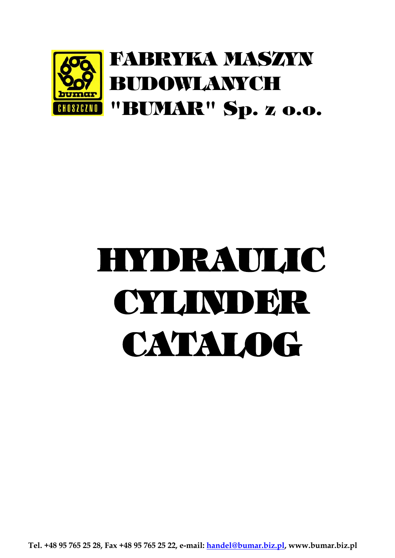

# HYDRAULIC CYLINDER CATALOG

**Tel. +48 95 765 25 28, Fax +48 95 765 25 22, e-mail: handel@bumar.biz.pl, www.bumar.biz.pl**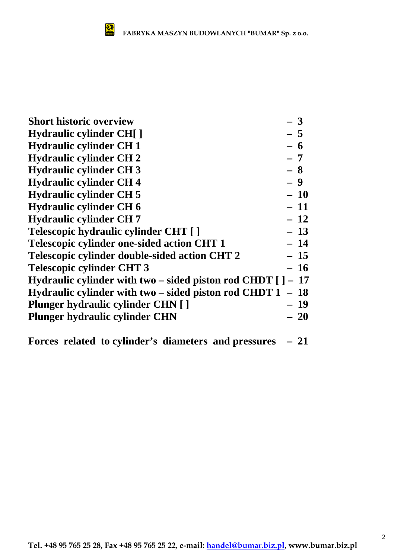| <b>Short historic overview</b>                                 | $-3$      |
|----------------------------------------------------------------|-----------|
| <b>Hydraulic cylinder CH[]</b>                                 | $-5$      |
| <b>Hydraulic cylinder CH 1</b>                                 | $-6$      |
| <b>Hydraulic cylinder CH2</b>                                  | $-7$      |
| <b>Hydraulic cylinder CH 3</b>                                 | $-8$      |
| <b>Hydraulic cylinder CH4</b>                                  | $-9$      |
| <b>Hydraulic cylinder CH 5</b>                                 | $-10$     |
| <b>Hydraulic cylinder CH 6</b>                                 | $-11$     |
| <b>Hydraulic cylinder CH7</b>                                  | $-12$     |
| Telescopic hydraulic cylinder CHT []                           | $-13$     |
| <b>Telescopic cylinder one-sided action CHT 1</b>              | $-14$     |
| Telescopic cylinder double-sided action CHT 2                  | $-15$     |
| <b>Telescopic cylinder CHT 3</b>                               | $-16$     |
| Hydraulic cylinder with two – sided piston rod CHDT $[$ ] – 17 |           |
| Hydraulic cylinder with two – sided piston rod CHDT $1 - 18$   |           |
| <b>Plunger hydraulic cylinder CHN [ ]</b>                      | $-19$     |
| <b>Plunger hydraulic cylinder CHN</b>                          | <b>20</b> |
|                                                                |           |

**Forces related to cylinder's diameters and pressures – 21**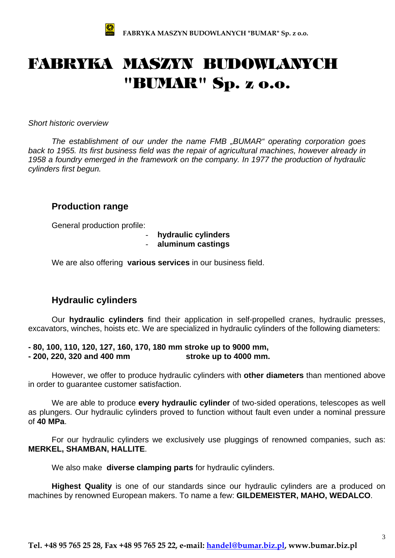

## FABRYKA MASZYN BUDOWLANYCH "BUMAR" Sp. z o.o.

*Short historic overview* 

*The establishment of our under the name FMB "BUMAR" operating corporation goes back to 1955. Its first business field was the repair of agricultural machines, however already in 1958 a foundry emerged in the framework on the company. In 1977 the production of hydraulic cylinders first begun.* 

#### **Production range**

General production profile:

- **hydraulic cylinders**  - **aluminum castings** 

We are also offering **various services** in our business field.

#### **Hydraulic cylinders**

 Our **hydraulic cylinders** find their application in self-propelled cranes, hydraulic presses, excavators, winches, hoists etc. We are specialized in hydraulic cylinders of the following diameters:

**- 80, 100, 110, 120, 127, 160, 170, 180 mm stroke up to 9000 mm, - 200, 220, 320 and 400 mm stroke up to 4000 mm.** 

However, we offer to produce hydraulic cylinders with **other diameters** than mentioned above in order to guarantee customer satisfaction.

 We are able to produce **every hydraulic cylinder** of two-sided operations, telescopes as well as plungers. Our hydraulic cylinders proved to function without fault even under a nominal pressure of **40 MPa**.

 For our hydraulic cylinders we exclusively use pluggings of renowned companies, such as: **MERKEL, SHAMBAN, HALLITE**.

We also make **diverse clamping parts** for hydraulic cylinders.

**Highest Quality** is one of our standards since our hydraulic cylinders are a produced on machines by renowned European makers. To name a few: **GILDEMEISTER, MAHO, WEDALCO**.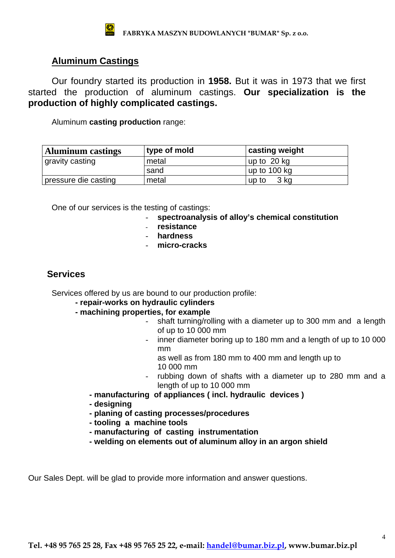### **Aluminum Castings**

Our foundry started its production in **1958.** But it was in 1973 that we first started the production of aluminum castings. **Our specialization is the production of highly complicated castings.** 

Aluminum **casting production** range:

| <b>Aluminum castings</b> | type of mold | casting weight |
|--------------------------|--------------|----------------|
| gravity casting          | metal        | up to 20 kg    |
|                          | sand         | up to 100 kg   |
| pressure die casting     | metal        | 3 kg<br>up to  |

One of our services is the testing of castings:

- **spectroanalysis of alloy's chemical constitution**
- **resistance**
- **hardness**
- **micro-cracks**

#### **Services**

Services offered by us are bound to our production profile:

- **repair-works on hydraulic cylinders**
- **machining properties, for example** 
	- shaft turning/rolling with a diameter up to 300 mm and a length of up to 10 000 mm
	- inner diameter boring up to 180 mm and a length of up to 10 000 mm
		- as well as from 180 mm to 400 mm and length up to 10 000 mm
	- rubbing down of shafts with a diameter up to 280 mm and a length of up to 10 000 mm
	- **manufacturing of appliances ( incl. hydraulic devices )**
	- **designing**
	- **planing of casting processes/procedures**
	- **tooling a machine tools**
	- **manufacturing of casting instrumentation**
	- **welding on elements out of aluminum alloy in an argon shield**

Our Sales Dept. will be glad to provide more information and answer questions.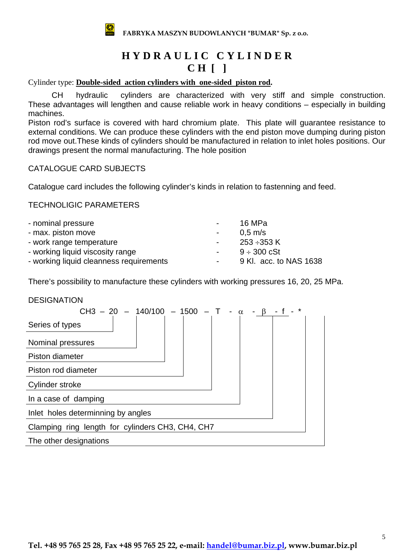

## **H Y D R A U L I C C Y L I N D E R C H [ ]**

Cylinder type: **Double-sided action cylinders with one-sided piston rod.** 

CH hydraulic cylinders are characterized with very stiff and simple construction. These advantages will lengthen and cause reliable work in heavy conditions – especially in building machines.

Piston rod's surface is covered with hard chromium plate. This plate will guarantee resistance to external conditions. We can produce these cylinders with the end piston move dumping during piston rod move out.These kinds of cylinders should be manufactured in relation to inlet holes positions. Our drawings present the normal manufacturing. The hole position

#### CATALOGUE CARD SUBJECTS

Catalogue card includes the following cylinder's kinds in relation to fastenning and feed.

#### TECHNOLIGIC PARAMETERS

|        | 16 MPa                   |
|--------|--------------------------|
| $\sim$ | $0.5 \text{ m/s}$        |
| $\sim$ | 253 ÷353 K               |
| $\sim$ | $9 \div 300 \text{ cSt}$ |
|        | 9 Kl. acc. to NAS 1638   |
|        |                          |

There's possibility to manufacture these cylinders with working pressures 16, 20, 25 MPa.

#### **DESIGNATION**

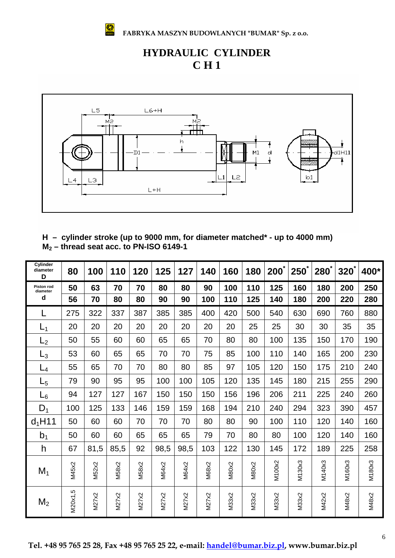

**FABRYKA MASZYN BUDOWLANYCH "BUMAR" Sp. z o.o.**

## **HYDRAULIC CYLINDER C H 1**



#### **H – cylinder stroke (up to 9000 mm, for diameter matched\* - up to 4000 mm) M2 – thread seat acc. to PN-ISO 6149-1**

| Cylinder<br>diameter<br>D | 80       | 100   | 110   | 120   | 125          | 127   | 140   | 160   | 180   | 200    | <b>250</b> | <b>280</b> | <b>320</b> | 400*   |
|---------------------------|----------|-------|-------|-------|--------------|-------|-------|-------|-------|--------|------------|------------|------------|--------|
| Piston rod<br>diameter    | 50       | 63    | 70    | 70    | 80           | 80    | 90    | 100   | 110   | 125    | 160        | 180        | 200        | 250    |
| d                         | 56       | 70    | 80    | 80    | 90           | 90    | 100   | 110   | 125   | 140    | 180        | 200        | 220        | 280    |
| L                         | 275      | 322   | 337   | 387   | 385          | 385   | 400   | 420   | 500   | 540    | 630        | 690        | 760        | 880    |
| L <sub>1</sub>            | 20       | 20    | 20    | 20    | 20           | 20    | 20    | 20    | 25    | 25     | 30         | 30         | 35         | 35     |
| $L_2$                     | 50       | 55    | 60    | 60    | 65           | 65    | 70    | 80    | 80    | 100    | 135        | 150        | 170        | 190    |
| L3                        | 53       | 60    | 65    | 65    | 70           | 70    | 75    | 85    | 100   | 110    | 140        | 165        | 200        | 230    |
| L4                        | 55       | 65    | 70    | 70    | 80           | 80    | 85    | 97    | 105   | 120    | 150        | 175        | 210        | 240    |
| L5                        | 79       | 90    | 95    | 95    | 100          | 100   | 105   | 120   | 135   | 145    | 180        | 215        | 255        | 290    |
| L <sub>6</sub>            | 94       | 127   | 127   | 167   | 150          | 150   | 150   | 156   | 196   | 206    | 211        | 225        | 240        | 260    |
| $D_1$                     | 100      | 125   | 133   | 146   | 159          | 159   | 168   | 194   | 210   | 240    | 294        | 323        | 390        | 457    |
| $d_1$ H11                 | 50       | 60    | 60    | 70    | 70           | 70    | 80    | 80    | 90    | 100    | 110        | 120        | 140        | 160    |
| b <sub>1</sub>            | 50       | 60    | 60    | 65    | 65           | 65    | 79    | 70    | 80    | 80     | 100        | 120        | 140        | 160    |
| h                         | 67       | 81,5  | 85,5  | 92    | 98,5         | 98,5  | 103   | 122   | 130   | 145    | 172        | 189        | 225        | 258    |
| $M_1$                     | M45x2    | M52x2 | M58x2 | M58x2 | <b>M64x2</b> | M64x2 | M68x2 | M80x2 | M80x2 | M100x2 | M130x3     | M140x3     | M160x3     | M180x3 |
| $M_2$                     | VI20x1,5 | M27x2 | M27x2 | M27x2 | M27x2        | M27x2 | M27x2 | M33x2 | M33x2 | M33x2  | M33x2      | M42x2      | M48x2      | M48x2  |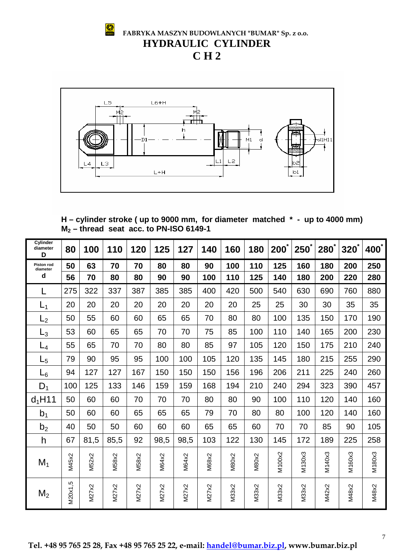

 **FABRYKA MASZYN BUDOWLANYCH "BUMAR" Sp. z o.o. HYDRAULIC CYLINDER C H 2** 



**H – cylinder stroke ( up to 9000 mm, for diameter matched \* - up to 4000 mm) M2 – thread seat acc. to PN-ISO 6149-1** 

| Cylinder<br>diameter<br>D | 80           | 100          | 110   | 120   | 125          | 127   | 140   | 160          | 180          | 200    | <b>250</b> | <b>280</b> | $320^{\degree}$ | $400^{\degree}$ |
|---------------------------|--------------|--------------|-------|-------|--------------|-------|-------|--------------|--------------|--------|------------|------------|-----------------|-----------------|
| Piston rod<br>diameter    | 50           | 63           | 70    | 70    | 80           | 80    | 90    | 100          | 110          | 125    | 160        | 180        | 200             | 250             |
| d                         | 56           | 70           | 80    | 80    | 90           | 90    | 100   | 110          | 125          | 140    | 180        | 200        | 220             | 280             |
|                           | 275          | 322          | 337   | 387   | 385          | 385   | 400   | 420          | 500          | 540    | 630        | 690        | 760             | 880             |
| $L_1$                     | 20           | 20           | 20    | 20    | 20           | 20    | 20    | 20           | 25           | 25     | 30         | 30         | 35              | 35              |
| L <sub>2</sub>            | 50           | 55           | 60    | 60    | 65           | 65    | 70    | 80           | 80           | 100    | 135        | 150        | 170             | 190             |
| $\mathsf{L}_3$            | 53           | 60           | 65    | 65    | 70           | 70    | 75    | 85           | 100          | 110    | 140        | 165        | 200             | 230             |
| $L_4$                     | 55           | 65           | 70    | 70    | 80           | 80    | 85    | 97           | 105          | 120    | 150        | 175        | 210             | 240             |
| $_{\mathsf{L}_5}$         | 79           | 90           | 95    | 95    | 100          | 100   | 105   | 120          | 135          | 145    | 180        | 215        | 255             | 290             |
| $L_6$                     | 94           | 127          | 127   | 167   | 150          | 150   | 150   | 156          | 196          | 206    | 211        | 225        | 240             | 260             |
| $D_1$                     | 100          | 125          | 133   | 146   | 159          | 159   | 168   | 194          | 210          | 240    | 294        | 323        | 390             | 457             |
| $d_1$ H11                 | 50           | 60           | 60    | 70    | 70           | 70    | 80    | 80           | 90           | 100    | 110        | 120        | 140             | 160             |
| b <sub>1</sub>            | 50           | 60           | 60    | 65    | 65           | 65    | 79    | 70           | 80           | 80     | 100        | 120        | 140             | 160             |
| b <sub>2</sub>            | 40           | 50           | 50    | 60    | 60           | 60    | 65    | 65           | 60           | 70     | 70         | 85         | 90              | 105             |
| h                         | 67           | 81,5         | 85,5  | 92    | 98,5         | 98,5  | 103   | 122          | 130          | 145    | 172        | 189        | 225             | 258             |
| $M_1$                     | M45x2        | <b>M52x2</b> | M58x2 | M58x2 | <b>M64x2</b> | M64x2 | M68x2 | <b>M80x2</b> | <b>M80x2</b> | M100x2 | M130x3     | M140x3     | M160x3          | M180x3          |
| M <sub>2</sub>            | rò<br>M20x1, | M27x2        | M27x2 | M27x2 | M27x2        | M27x2 | M27x2 | M33x2        | M33x2        | M33x2  | M33x2      | M42x2      | M48x2           | M48x2           |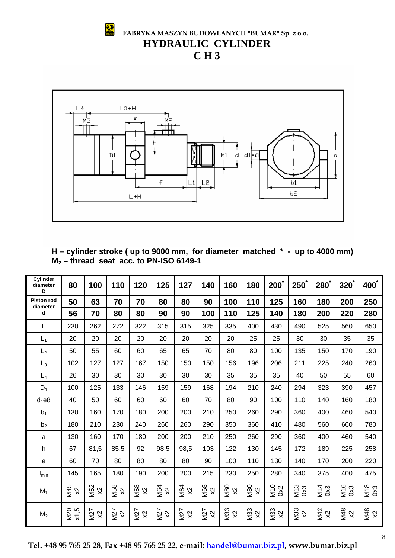**FABRYKA MASZYN BUDOWLANYCH "BUMAR" Sp. z o.o. HYDRAULIC CYLINDER C H 3**



**H – cylinder stroke ( up to 9000 mm, for diameter matched \* - up to 4000 mm) M2 – thread seat acc. to PN-ISO 6149-1** 

| <b>Cylinder</b><br>diameter<br>D | 80                 | 100              | 110                              | 120                               | 125                              | 127                              | 140                     | 160                                     | 180                                     | $200^{\degree}$  | $250^\circ$                       | 280                              | $320^{\degree}$ | 400 <sup>*</sup> |
|----------------------------------|--------------------|------------------|----------------------------------|-----------------------------------|----------------------------------|----------------------------------|-------------------------|-----------------------------------------|-----------------------------------------|------------------|-----------------------------------|----------------------------------|-----------------|------------------|
| <b>Piston rod</b><br>diameter    | 50                 | 63               | 70                               | 70                                | 80                               | 80                               | 90                      | 100                                     | 110                                     | 125              | 160                               | 180                              | 200             | 250              |
| d                                | 56                 | 70               | 80                               | 80                                | 90                               | 90                               | 100                     | 110                                     | 125                                     | 140              | 180                               | 200                              | 220             | 280              |
| L                                | 230                | 262              | 272                              | 322                               | 315                              | 315                              | 325                     | 335                                     | 400                                     | 430              | 490                               | 525                              | 560             | 650              |
| $L_1$                            | 20                 | 20               | 20                               | 20                                | 20                               | 20                               | 20                      | 20                                      | 25                                      | 25               | 30                                | 30                               | 35              | 35               |
| L <sub>2</sub>                   | 50                 | 55               | 60                               | 60                                | 65                               | 65                               | 70                      | 80                                      | 80                                      | 100              | 135                               | 150                              | 170             | 190              |
| $L_3$                            | 102                | 127              | 127                              | 167                               | 150                              | 150                              | 150                     | 156                                     | 196                                     | 206              | 211                               | 225                              | 240             | 260              |
| $L_4$                            | 26                 | 30               | 30                               | 30                                | 30                               | 30                               | 30                      | 35                                      | 35                                      | 35               | 40                                | 50                               | 55              | 60               |
| $D_1$                            | 100                | 125              | 133                              | 146                               | 159                              | 159                              | 168                     | 194                                     | 210                                     | 240              | 294                               | 323                              | 390             | 457              |
| $d_1$ e8                         | 40                 | 50               | 60                               | 60                                | 60                               | 60                               | 70                      | 80                                      | 90                                      | 100              | 110                               | 140                              | 160             | 180              |
| b <sub>1</sub>                   | 130                | 160              | 170                              | 180                               | 200                              | 200                              | 210                     | 250                                     | 260                                     | 290              | 360                               | 400                              | 460             | 540              |
| b <sub>2</sub>                   | 180                | 210              | 230                              | 240                               | 260                              | 260                              | 290                     | 350                                     | 360                                     | 410              | 480                               | 560                              | 660             | 780              |
| a                                | 130                | 160              | 170                              | 180                               | 200                              | 200                              | 210                     | 250                                     | 260                                     | 290              | 360                               | 400                              | 460             | 540              |
| h                                | 67                 | 81,5             | 85,5                             | 92                                | 98,5                             | 98,5                             | 103                     | 122                                     | 130                                     | 145              | 172                               | 189                              | 225             | 258              |
| e                                | 60                 | 70               | 80                               | 80                                | 80                               | 80                               | 90                      | 100                                     | 110                                     | 130              | 140                               | 170                              | 200             | 220              |
| $f_{min}$                        | 145                | 165              | 180                              | 190                               | 200                              | 200                              | 215                     | 230                                     | 250                                     | 280              | 340                               | 375                              | 400             | 475              |
| $M_1$                            | M45<br>$\infty$    | <b>N52</b><br>X2 | M58<br>$\boldsymbol{\mathsf{R}}$ | M58<br>$\boldsymbol{\mathcal{R}}$ | M64<br>$\boldsymbol{\mathsf{X}}$ | M64<br>$\infty$                  | <b>M68</b><br>$\infty$  | <b>M80</b><br>$\boldsymbol{\mathsf{X}}$ | <b>M80</b><br>$\boldsymbol{\mathsf{X}}$ | $\frac{0}{0}$    | M <sub>13</sub><br>0x3            | M14<br>0x3                       | M16<br>0x3      | M18<br>0x3       |
| M <sub>2</sub>                   | <b>M20</b><br>x1,5 | N27<br>X2        | M27<br>$\boldsymbol{\mathsf{X}}$ | <b>M27</b><br>$\approx$           | N27<br>X2                        | M27<br>$\boldsymbol{\mathsf{X}}$ | <b>M27</b><br>$\approx$ | M33<br>$\boldsymbol{\mathsf{X}}$        | M33<br>$\boldsymbol{\mathcal{R}}$       | <b>N33</b><br>X2 | M33<br>$\boldsymbol{\mathcal{R}}$ | M42<br>$\boldsymbol{\mathsf{X}}$ | M48<br>$\infty$ | <b>M48</b><br>x2 |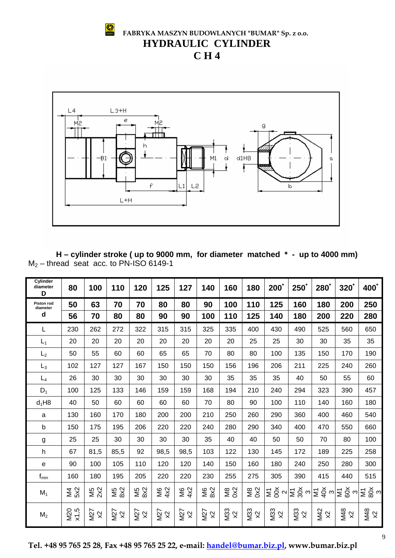

 **FABRYKA MASZYN BUDOWLANYCH "BUMAR" Sp. z o.o. HYDRAULIC CYLINDER C H 4** 



**H – cylinder stroke ( up to 9000 mm, for diameter matched \* - up to 4000 mm)**   $M_2$  – thread seat acc. to PN-ISO 6149-1

| Cylinder<br>diameter<br>D     | 80                 | 100               | 110              | 120               | 125               | 127              | 140               | 160              | 180              | $200^{\degree}$  | $250^{\degree}$  | 280             | $320^{\degree}$                                                                                                                                                                                                                                                                                                                                 | 400 <sup>*</sup> |
|-------------------------------|--------------------|-------------------|------------------|-------------------|-------------------|------------------|-------------------|------------------|------------------|------------------|------------------|-----------------|-------------------------------------------------------------------------------------------------------------------------------------------------------------------------------------------------------------------------------------------------------------------------------------------------------------------------------------------------|------------------|
| <b>Piston rod</b><br>diameter | 50                 | 63                | 70               | 70                | 80                | 80               | 90                | 100              | 110              | 125              | 160              | 180             | 200                                                                                                                                                                                                                                                                                                                                             | 250              |
| d                             | 56                 | 70                | 80               | 80                | 90                | 90               | 100               | 110              | 125              | 140              | 180              | 200             | 220                                                                                                                                                                                                                                                                                                                                             | 280              |
| L                             | 230                | 262               | 272              | 322               | 315               | 315              | 325               | 335              | 400              | 430              | 490              | 525             | 560                                                                                                                                                                                                                                                                                                                                             | 650              |
| $L_1$                         | 20                 | 20                | 20               | 20                | 20                | 20               | 20                | 20               | 25               | 25               | 30               | 30              | 35                                                                                                                                                                                                                                                                                                                                              | 35               |
| L <sub>2</sub>                | 50                 | 55                | 60               | 60                | 65                | 65               | 70                | 80               | 80               | 100              | 135              | 150             | 170                                                                                                                                                                                                                                                                                                                                             | 190              |
| $L_3$                         | 102                | 127               | 127              | 167               | 150               | 150              | 150               | 156              | 196              | 206              | 211              | 225             | 240                                                                                                                                                                                                                                                                                                                                             | 260              |
| $L_4$                         | 26                 | 30                | 30               | 30                | 30                | 30               | 30                | 35               | 35               | 35               | 40               | 50              | 55                                                                                                                                                                                                                                                                                                                                              | 60               |
| $D_1$                         | 100                | 125               | 133              | 146               | 159               | 159              | 168               | 194              | 210              | 240              | 294              | 323             | 390                                                                                                                                                                                                                                                                                                                                             | 457              |
| $d_1H8$                       | 40                 | 50                | 60               | 60                | 60                | 60               | 70                | 80               | 90               | 100              | 110              | 140             | 160                                                                                                                                                                                                                                                                                                                                             | 180              |
| a                             | 130                | 160               | 170              | 180               | 200               | 200              | 210               | 250              | 260              | 290              | 360              | 400             | 460                                                                                                                                                                                                                                                                                                                                             | 540              |
| b                             | 150                | 175               | 195              | 206               | 220               | 220              | 240               | 280              | 290              | 340              | 400              | 470             | 550                                                                                                                                                                                                                                                                                                                                             | 660              |
| g                             | 25                 | 25                | 30               | 30                | 30                | 30               | 35                | 40               | 40               | 50               | 50               | 70              | 80                                                                                                                                                                                                                                                                                                                                              | 100              |
| h                             | 67                 | 81,5              | 85,5             | 92                | 98,5              | 98,5             | 103               | 122              | 130              | 145              | 172              | 189             | 225                                                                                                                                                                                                                                                                                                                                             | 258              |
| е                             | 90                 | 100               | 105              | 110               | 120               | 120              | 140               | 150              | 160              | 180              | 240              | 250             | 280                                                                                                                                                                                                                                                                                                                                             | 300              |
| $f_{min}$                     | 160                | 180               | 195              | 205               | 220               | 220              | 230               | 255              | 275              | 305              | 390              | 415             | 440                                                                                                                                                                                                                                                                                                                                             | 515              |
| $M_1$                         | <b>M4</b><br>5X2   | W <sub>2</sub>    | M5<br>8x2        | M5<br>8X2         | $\frac{6}{4}$     | $\frac{8}{4}$    | <b>M6</b><br>8x2  | $\frac{8}{2}$    | $\frac{8}{2}$    |                  |                  |                 | $\frac{1}{2}\sum_{i=1}^{N} \sum_{j=1}^{N} \sum_{j=1}^{N} \sum_{j=1}^{N} \sum_{j=1}^{N} \sum_{j=1}^{N} \sum_{j=1}^{N} \sum_{j=1}^{N} \sum_{j=1}^{N} \sum_{j=1}^{N} \sum_{j=1}^{N} \sum_{j=1}^{N} \sum_{j=1}^{N} \sum_{j=1}^{N} \sum_{j=1}^{N} \sum_{j=1}^{N} \sum_{j=1}^{N} \sum_{j=1}^{N} \sum_{j=1}^{N} \sum_{j=1}^{N} \sum_{j=1}^{N} \sum_{j$ |                  |
| M <sub>2</sub>                | x1,5<br><b>M20</b> | $M27$<br>$\times$ | <b>N27</b><br>x2 | $M27$<br>$\times$ | $M27$<br>$\times$ | <b>N27</b><br>x2 | $M27$<br>$\times$ | <b>M33</b><br>x2 | <b>N33</b><br>x2 | <b>M33</b><br>x2 | <b>M33</b><br>x2 | M42<br>$\times$ | M48<br>x2                                                                                                                                                                                                                                                                                                                                       | M48<br>x2        |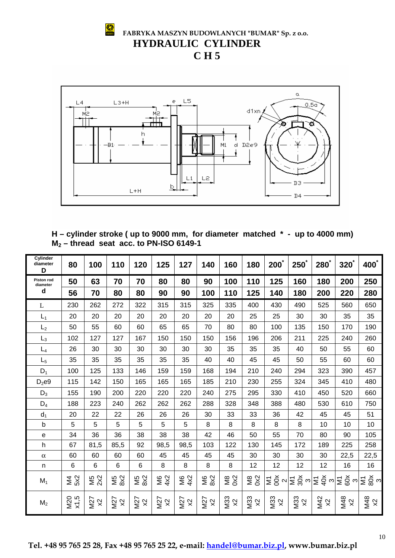**FABRYKA MASZYN BUDOWLANYCH "BUMAR" Sp. z o.o. HYDRAULIC CYLINDER** 

**C H 5** 

S



**H – cylinder stroke ( up to 9000 mm, for diameter matched \* - up to 4000 mm) M2 – thread seat acc. to PN-ISO 6149-1** 

| Cylinder<br>diameter<br>D     | 80               | 100              | 110           | 120              | 125              | 127              | 140              | 160              | 180              | $200^\circ$                                                                                                                                                                                                                                  | $250^{\degree}$ | $280^\circ$     | $320^{\degree}$ | 400 <sup>*</sup> |
|-------------------------------|------------------|------------------|---------------|------------------|------------------|------------------|------------------|------------------|------------------|----------------------------------------------------------------------------------------------------------------------------------------------------------------------------------------------------------------------------------------------|-----------------|-----------------|-----------------|------------------|
| <b>Piston rod</b><br>diameter | 50               | 63               | 70            | 70               | 80               | 80               | 90               | 100              | 110              | 125                                                                                                                                                                                                                                          | 160             | 180             | 200             | 250              |
| d                             | 56               | 70               | 80            | 80               | 90               | 90               | 100              | 110              | 125              | 140                                                                                                                                                                                                                                          | 180             | 200             | 220             | 280              |
| L                             | 230              | 262              | 272           | 322              | 315              | 315              | 325              | 335              | 400              | 430                                                                                                                                                                                                                                          | 490             | 525             | 560             | 650              |
| $L_1$                         | 20               | 20               | 20            | 20               | 20               | 20               | 20               | 20               | 25               | 25                                                                                                                                                                                                                                           | 30              | 30              | 35              | 35               |
| L <sub>2</sub>                | 50               | 55               | 60            | 60               | 65               | 65               | 70               | 80               | 80               | 100                                                                                                                                                                                                                                          | 135             | 150             | 170             | 190              |
| $L_3$                         | 102              | 127              | 127           | 167              | 150              | 150              | 150              | 156              | 196              | 206                                                                                                                                                                                                                                          | 211             | 225             | 240             | 260              |
| $L_4$                         | 26               | 30               | 30            | 30               | 30               | 30               | 30               | 35               | 35               | 35                                                                                                                                                                                                                                           | 40              | 50              | 55              | 60               |
| $L_5$                         | 35               | 35               | 35            | 35               | 35               | 35               | 40               | 40               | 45               | 45                                                                                                                                                                                                                                           | 50              | 55              | 60              | 60               |
| $D_1$                         | 100              | 125              | 133           | 146              | 159              | 159              | 168              | 194              | 210              | 240                                                                                                                                                                                                                                          | 294             | 323             | 390             | 457              |
| $D_2e9$                       | 115              | 142              | 150           | 165              | 165              | 165              | 185              | 210              | 230              | 255                                                                                                                                                                                                                                          | 324             | 345             | 410             | 480              |
| $D_3$                         | 155              | 190              | 200           | 220              | 220              | 220              | 240              | 275              | 295              | 330                                                                                                                                                                                                                                          | 410             | 450             | 520             | 660              |
| $D_4$                         | 188              | 223              | 240           | 262              | 262              | 262              | 288              | 328              | 348              | 388                                                                                                                                                                                                                                          | 480             | 530             | 610             | 750              |
| $d_1$                         | 20               | 22               | 22            | 26               | 26               | 26               | 30               | 33               | 33               | 36                                                                                                                                                                                                                                           | 42              | 45              | 45              | 51               |
| $\mathsf b$                   | 5                | 5                | 5             | 5                | 5                | 5                | 8                | 8                | 8                | 8                                                                                                                                                                                                                                            | 8               | 10              | 10              | 10               |
| е                             | 34               | 36               | 36            | 38               | 38               | 38               | 42               | 46               | 50               | 55                                                                                                                                                                                                                                           | 70              | 80              | 90              | 105              |
| h                             | 67               | 81,5             | 85,5          | 92               | 98,5             | 98,5             | 103              | 122              | 130              | 145                                                                                                                                                                                                                                          | 172             | 189             | 225             | 258              |
| $\alpha$                      | 60               | 60               | 60            | 60               | 45               | 45               | 45               | 45               | 30               | 30                                                                                                                                                                                                                                           | 30              | 30              | 22,5            | 22,5             |
| n                             | 6                | 6                | 6             | 6                | 8                | 8                | 8                | 8                | 12               | 12                                                                                                                                                                                                                                           | 12              | 12              | 16              | 16               |
| $M_1$                         | <b>M4</b><br>5x2 | $M5$<br>2X2      | M5<br>8x2     | M5<br>8x2        | <b>M6</b><br>4X2 | <b>M6</b><br>4x2 | <b>M6</b><br>8x2 | <b>M8</b><br>0x2 | <b>M8</b><br>0x2 | $ \Xi\ \breve{\otimes}\ \textcolor{black}{\sim}  \Xi\ \breve{\otimes}\ \textcolor{black}{\sim}  \Xi\ \breve{\varphi}\ \textcolor{black}{\sim}  \Xi\ \breve{\otimes}\ \textcolor{black}{\sim}  \Xi\ \breve{\otimes}\ \textcolor{black}{\sim}$ |                 |                 |                 |                  |
| M <sub>2</sub>                | M20<br>x1,5      | N27<br>$\approx$ | M27<br>$\chi$ | M27<br>$\approx$ | M27<br>$\approx$ | <b>N27</b><br>x2 | M27<br>$\times$  | <b>M33</b><br>x2 | M33<br>x2        | M33<br>$\times$                                                                                                                                                                                                                              | M33<br>$\chi$   | M42<br>$\times$ | M48<br>$\times$ | M48<br>x2        |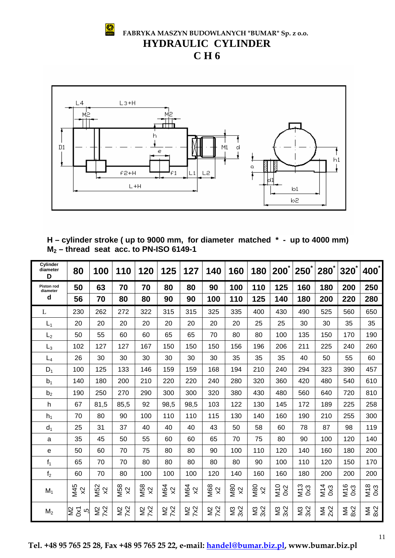

 **FABRYKA MASZYN BUDOWLANYCH "BUMAR" Sp. z o.o. HYDRAULIC CYLINDER** 





**H – cylinder stroke ( up to 9000 mm, for diameter matched \* - up to 4000 mm) M2 – thread seat acc. to PN-ISO 6149-1** 

| Cylinder<br>diameter<br>D | 80                                 | 100                    | 110                                     | 120                                     | 125                              | 127                                     | 140                                      | 160                     | 180              | $200^{\degree}$ | 250             | $280^{\degree}$  | $320^{\circ}$    | 400 <sup>*</sup> |
|---------------------------|------------------------------------|------------------------|-----------------------------------------|-----------------------------------------|----------------------------------|-----------------------------------------|------------------------------------------|-------------------------|------------------|-----------------|-----------------|------------------|------------------|------------------|
| Piston rod<br>diameter    | 50                                 | 63                     | 70                                      | 70                                      | 80                               | 80                                      | 90                                       | 100                     | 110              | 125             | 160             | 180              | 200              | 250              |
| $\mathbf d$               | 56                                 | 70                     | 80                                      | 80                                      | 90                               | 90                                      | 100                                      | 110                     | 125              | 140             | 180             | 200              | 220              | 280              |
| L                         | 230                                | 262                    | 272                                     | 322                                     | 315                              | 315                                     | 325                                      | 335                     | 400              | 430             | 490             | 525              | 560              | 650              |
| $L_1$                     | 20                                 | 20                     | 20                                      | 20                                      | 20                               | 20                                      | 20                                       | 20                      | 25               | 25              | 30              | 30               | 35               | 35               |
| L <sub>2</sub>            | 50                                 | 55                     | 60                                      | 60                                      | 65                               | 65                                      | 70                                       | 80                      | 80               | 100             | 135             | 150              | 170              | 190              |
| $L_3$                     | 102                                | 127                    | 127                                     | 167                                     | 150                              | 150                                     | 150                                      | 156                     | 196              | 206             | 211             | 225              | 240              | 260              |
| $L_4$                     | 26                                 | 30                     | 30                                      | 30                                      | 30                               | 30                                      | 30                                       | 35                      | 35               | 35              | 40              | 50               | 55               | 60               |
| $D_1$                     | 100                                | 125                    | 133                                     | 146                                     | 159                              | 159                                     | 168                                      | 194                     | 210              | 240             | 294             | 323              | 390              | 457              |
| b <sub>1</sub>            | 140                                | 180                    | 200                                     | 210                                     | 220                              | 220                                     | 240                                      | 280                     | 320              | 360             | 420             | 480              | 540              | 610              |
| b <sub>2</sub>            | 190                                | 250                    | 270                                     | 290                                     | 300                              | 300                                     | 320                                      | 380                     | 430              | 480             | 560             | 640              | 720              | 810              |
| h                         | 67                                 | 81,5                   | 85,5                                    | 92                                      | 98,5                             | 98,5                                    | 103                                      | 122                     | 130              | 145             | 172             | 189              | 225              | 258              |
| h <sub>1</sub>            | 70                                 | 80                     | 90                                      | 100                                     | 110                              | 110                                     | 115                                      | 130                     | 140              | 160             | 190             | 210              | 255              | 300              |
| $d_1$                     | 25                                 | 31                     | 37                                      | 40                                      | 40                               | 40                                      | 43                                       | 50                      | 58               | 60              | 78              | 87               | 98               | 119              |
| a                         | 35                                 | 45                     | 50                                      | 55                                      | 60                               | 60                                      | 65                                       | 70                      | 75               | 80              | 90              | 100              | 120              | 140              |
| e                         | 50                                 | 60                     | 70                                      | 75                                      | 80                               | 80                                      | 90                                       | 100                     | 110              | 120             | 140             | 160              | 180              | 200              |
| f <sub>1</sub>            | 65                                 | 70                     | 70                                      | 80                                      | 80                               | 80                                      | 80                                       | 80                      | 90               | 100             | 110             | 120              | 150              | 170              |
| f <sub>2</sub>            | 60                                 | 70                     | 80                                      | 100                                     | 100                              | 100                                     | 120                                      | 140                     | 160              | 160             | 180             | 200              | 200              | 200              |
| $M_1$                     | M45<br>$\boldsymbol{\mathsf{R}}$   | <b>M52</b><br>$\infty$ | <b>M58</b><br>$\boldsymbol{\mathsf{X}}$ | <b>M58</b><br>$\boldsymbol{\mathsf{X}}$ | M64<br>$\boldsymbol{\mathsf{X}}$ | <b>M64</b><br>$\boldsymbol{\mathsf{X}}$ | <b>M68</b><br>$\boldsymbol{\mathcal{R}}$ | <b>M80</b><br>$\approx$ | <b>M80</b><br>X2 | $\frac{0}{2}$   | $\frac{013}{0}$ | M14<br>0x3       | M16<br>0x3       | M18<br>0x3       |
| M <sub>2</sub>            | $\overline{\mathsf{S}}$<br>š<br>rŭ | $\frac{2}{2}$          | <b>N2</b><br>7X2                        | <b>N2</b><br>7X2                        | <b>N2</b><br>7X2                 | <b>N2</b><br>7X2                        | <b>SS2</b>                               | <b>N3</b><br>3X2        | <b>N3</b><br>3X2 | <b>SXS</b>      | <b>SXS</b>      | <b>M4</b><br>2X2 | <b>M4</b><br>8X2 | <b>NA</b><br>822 |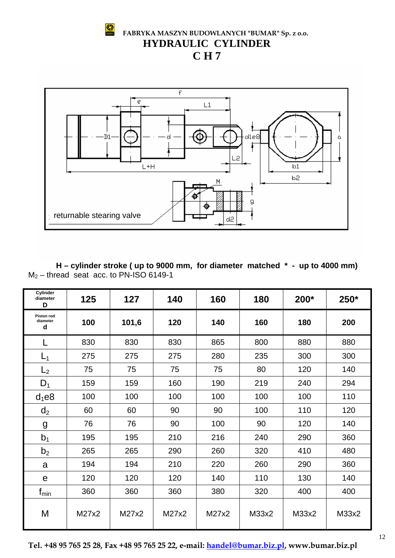$\circ$ 

 **FABRYKA MASZYN BUDOWLANYCH "BUMAR" Sp. z o.o. HYDRAULIC CYLINDER** 

**C H 7** 



**H – cylinder stroke ( up to 9000 mm, for diameter matched \* - up to 4000 mm)**   $M_2$  – thread seat acc. to PN-ISO 6149-1

| Cylinder<br>diameter<br>D          | 125   | 127   | 140   | 160   | 180   | 200*  | 250*  |
|------------------------------------|-------|-------|-------|-------|-------|-------|-------|
| <b>Piston rod</b><br>diameter<br>d | 100   | 101,6 | 120   | 140   | 160   | 180   | 200   |
| L                                  | 830   | 830   | 830   | 865   | 800   | 880   | 880   |
| $L_1$                              | 275   | 275   | 275   | 280   | 235   | 300   | 300   |
| L <sub>2</sub>                     | 75    | 75    | 75    | 75    | 80    | 120   | 140   |
| $D_1$                              | 159   | 159   | 160   | 190   | 219   | 240   | 294   |
| $d_1$ e8                           | 100   | 100   | 100   | 100   | 100   | 100   | 110   |
| d <sub>2</sub>                     | 60    | 60    | 90    | 90    | 100   | 110   | 120   |
| g                                  | 76    | 76    | 90    | 100   | 90    | 120   | 140   |
| b <sub>1</sub>                     | 195   | 195   | 210   | 216   | 240   | 290   | 360   |
| b <sub>2</sub>                     | 265   | 265   | 290   | 260   | 320   | 410   | 480   |
| a                                  | 194   | 194   | 210   | 220   | 260   | 290   | 360   |
| $\mathbf e$                        | 120   | 120   | 120   | 140   | 110   | 130   | 140   |
| $f_{\text{min}}$                   | 360   | 360   | 360   | 380   | 320   | 400   | 400   |
| M                                  | M27x2 | M27x2 | M27x2 | M27x2 | M33x2 | M33x2 | M33x2 |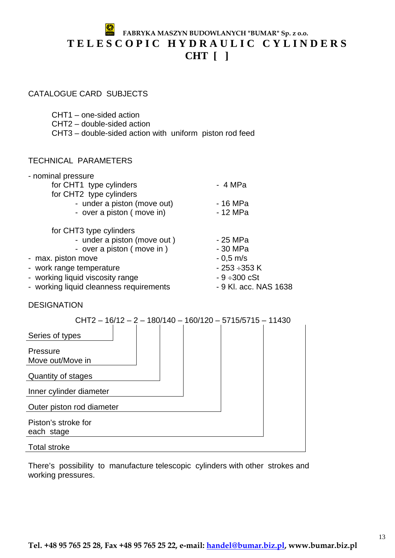## **FABRYKA MASZYN BUDOWLANYCH "BUMAR" Sp. z o.o. T E L E S C O P I C H Y D R A U L I C C Y L I N D E R S CHT [ ]**

#### CATALOGUE CARD SUBJECTS

- CHT1 one-sided action
- CHT2 double-sided action
- CHT3 double-sided action with uniform piston rod feed

#### TECHNICAL PARAMETERS

| - nominal pressure                      |                       |
|-----------------------------------------|-----------------------|
| for CHT1 type cylinders                 | - 4 MPa               |
| for CHT2 type cylinders                 |                       |
| - under a piston (move out)             | - 16 MPa              |
| - over a piston (move in)               | - 12 MPa              |
| for CHT3 type cylinders                 |                       |
| - under a piston (move out)             | - 25 MPa              |
| - over a piston (move in)               | - 30 MPa              |
| - max. piston move                      | $-0.5$ m/s            |
| - work range temperature                | - 253 ÷353 K          |
| - working liquid viscosity range        | $-9 + 300$ cSt        |
| - working liquid cleanness requirements | - 9 Kl. acc. NAS 1638 |
|                                         |                       |

DESIGNATION

| $CHT2 - 16/12 - 2 - 180/140 - 160/120 - 5715/5715 - 11430$ |  |
|------------------------------------------------------------|--|
| Series of types                                            |  |
| Pressure<br>Move out/Move in                               |  |
| Quantity of stages                                         |  |
| Inner cylinder diameter                                    |  |
| Outer piston rod diameter                                  |  |
| Piston's stroke for<br>each stage                          |  |
| <b>Total stroke</b>                                        |  |

There's possibility to manufacture telescopic cylinders with other strokes and working pressures.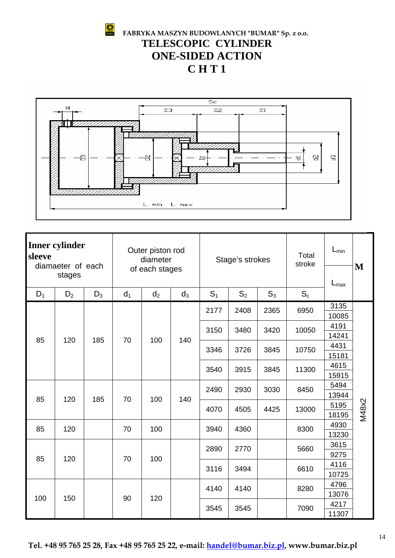S

 **FABRYKA MASZYN BUDOWLANYCH "BUMAR" Sp. z o.o. TELESCOPIC CYLINDER ONE-SIDED ACTION C H T 1** 



| <b>Inner cylinder</b><br>sleeve<br>diamaeter of each |       |                | Outer piston rod<br>diameter |       | Stage's strokes |                |                | Total<br>stroke  | $L_{min}$                               | M     |      |       |  |  |  |       |  |
|------------------------------------------------------|-------|----------------|------------------------------|-------|-----------------|----------------|----------------|------------------|-----------------------------------------|-------|------|-------|--|--|--|-------|--|
| stages                                               |       | of each stages |                              |       |                 |                |                | $L_{\text{max}}$ |                                         |       |      |       |  |  |  |       |  |
| $D_1$                                                | $D_2$ | $D_3$          | d <sub>1</sub>               | $d_2$ | $d_3$           | S <sub>1</sub> | S <sub>2</sub> | $S_3$            | $S_c$                                   |       |      |       |  |  |  |       |  |
|                                                      |       |                |                              |       |                 | 2177           | 2408           | 2365             |                                         | 3135  |      |       |  |  |  |       |  |
| 85                                                   |       |                |                              |       |                 |                |                |                  |                                         | 10085 |      |       |  |  |  |       |  |
|                                                      |       |                |                              |       |                 | 3150           | 3480           | 3420             | 6950<br>10050<br>10750<br>11300<br>8450 | 4191  |      |       |  |  |  |       |  |
|                                                      | 120   | 185            | 70                           | 100   | 140             |                |                |                  |                                         | 14241 |      |       |  |  |  |       |  |
|                                                      |       |                |                              |       |                 | 3346           | 3726           | 3845             |                                         | 4431  |      |       |  |  |  |       |  |
|                                                      |       |                |                              |       |                 |                |                |                  |                                         | 15181 |      |       |  |  |  |       |  |
|                                                      |       |                |                              |       |                 | 3540           | 3915           | 3845             |                                         | 4615  |      |       |  |  |  |       |  |
|                                                      |       |                |                              |       |                 |                |                |                  |                                         |       |      |       |  |  |  | 15915 |  |
|                                                      |       |                |                              |       |                 | 2490           | 2930           | 3030             |                                         | 5494  |      |       |  |  |  |       |  |
| 85                                                   | 120   | 185            | 70                           | 100   | 140             |                |                |                  | 13944                                   |       |      |       |  |  |  |       |  |
|                                                      |       |                |                              |       |                 | 4070           | 4505           |                  | 4425                                    | 13000 | 5195 | M48x2 |  |  |  |       |  |
|                                                      |       |                |                              |       |                 |                |                |                  |                                         | 18195 |      |       |  |  |  |       |  |
| 85                                                   | 120   |                | 70                           | 100   |                 | 3940           | 4360           |                  | 8300                                    | 4930  |      |       |  |  |  |       |  |
|                                                      |       |                |                              |       |                 |                |                |                  |                                         | 13230 |      |       |  |  |  |       |  |
|                                                      |       |                |                              |       |                 | 2890           | 2770           |                  | 5660                                    | 3615  |      |       |  |  |  |       |  |
| 85                                                   | 120   |                | 70                           | 100   |                 |                |                |                  |                                         | 9275  |      |       |  |  |  |       |  |
|                                                      |       |                |                              |       |                 | 3116           | 3494           |                  | 6610                                    | 4116  |      |       |  |  |  |       |  |
|                                                      |       |                |                              |       |                 |                |                |                  |                                         | 10725 |      |       |  |  |  |       |  |
|                                                      |       |                |                              |       |                 | 4140           | 4140           |                  | 8280                                    | 4796  |      |       |  |  |  |       |  |
| 100                                                  | 150   |                | 90                           | 120   |                 |                |                |                  |                                         | 13076 |      |       |  |  |  |       |  |
|                                                      |       |                |                              |       |                 | 3545           | 3545           |                  | 7090                                    | 4217  |      |       |  |  |  |       |  |
|                                                      |       |                |                              |       |                 |                |                | 11307            |                                         |       |      |       |  |  |  |       |  |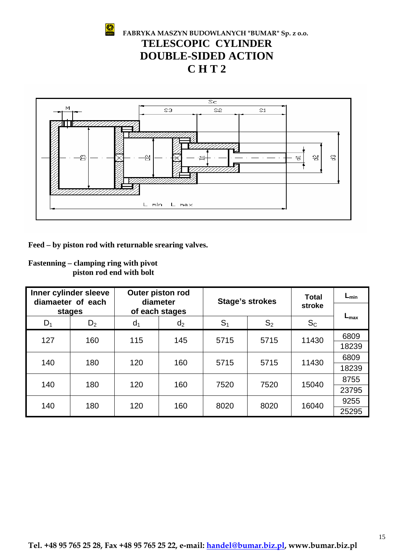



| Fastenning – clamping ring with pivot |                          |  |  |
|---------------------------------------|--------------------------|--|--|
|                                       | piston rod end with bolt |  |  |

| 욥<br>웜<br>옇<br>옇<br>뮹<br>L min<br>L max<br>Feed – by piston rod with returnable srearing valves.<br><b>Fastenning – clamping ring with pivot</b><br>piston rod end with bolt<br>Inner cylinder sleeve<br>Outer piston rod<br>$L_{min}$<br><b>Total</b><br><b>Stage's strokes</b><br>diamaeter of each<br>diameter |        |       |                |       |                |         |                  |  |  |  |  |
|-------------------------------------------------------------------------------------------------------------------------------------------------------------------------------------------------------------------------------------------------------------------------------------------------------------------|--------|-------|----------------|-------|----------------|---------|------------------|--|--|--|--|
|                                                                                                                                                                                                                                                                                                                   |        |       |                |       |                |         |                  |  |  |  |  |
|                                                                                                                                                                                                                                                                                                                   | stages |       | of each stages |       |                | stroke  |                  |  |  |  |  |
| $D_1$                                                                                                                                                                                                                                                                                                             | $D_2$  | $d_1$ | d <sub>2</sub> | $S_1$ | S <sub>2</sub> | $S_{C}$ | $L_{\text{max}}$ |  |  |  |  |
| 127                                                                                                                                                                                                                                                                                                               | 160    | 115   | 145            | 5715  | 5715           | 11430   | 6809             |  |  |  |  |
|                                                                                                                                                                                                                                                                                                                   |        |       |                |       |                |         | 18239            |  |  |  |  |
| 140                                                                                                                                                                                                                                                                                                               | 180    | 120   | 160            | 5715  | 5715           | 11430   | 6809             |  |  |  |  |
|                                                                                                                                                                                                                                                                                                                   |        |       |                |       |                |         | 18239            |  |  |  |  |
| 140                                                                                                                                                                                                                                                                                                               | 180    | 120   | 160            | 7520  | 7520           | 15040   | 8755<br>23795    |  |  |  |  |
|                                                                                                                                                                                                                                                                                                                   |        |       |                |       |                |         | 9255             |  |  |  |  |
| 140                                                                                                                                                                                                                                                                                                               | 180    | 120   | 160            | 8020  | 8020           | 16040   | 25295            |  |  |  |  |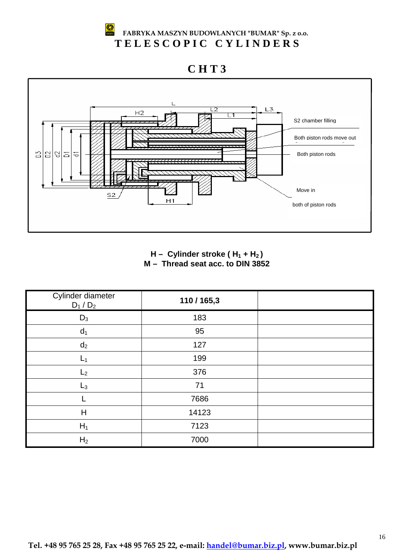#### ♔ **FABRYKA MASZYN BUDOWLANYCH "BUMAR" Sp. z o.o. T E L E S C O P I C C Y L I N D E R S**

## **C H T 3**



H – Cylinder stroke (H<sub>1</sub> + H<sub>2</sub>) **M – Thread seat acc. to DIN 3852** 

| Cylinder diameter<br>$D_1/D_2$ | 110/165,3 |  |
|--------------------------------|-----------|--|
| $D_3$                          | 183       |  |
| d <sub>1</sub>                 | 95        |  |
| $d_2$                          | 127       |  |
| $L_1$                          | 199       |  |
| L <sub>2</sub>                 | 376       |  |
| $L_3$                          | 71        |  |
|                                | 7686      |  |
| H                              | 14123     |  |
| $H_1$                          | 7123      |  |
| H <sub>2</sub>                 | 7000      |  |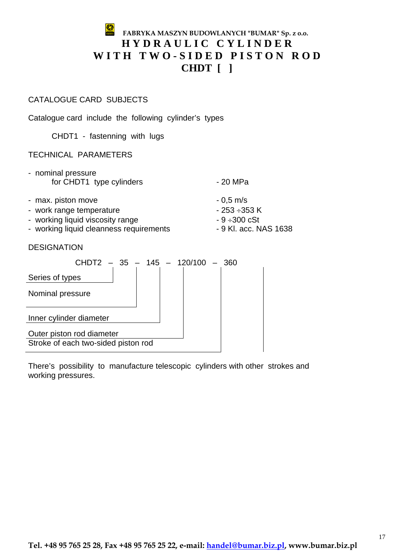## **FABRYKA MASZYN BUDOWLANYCH "BUMAR" Sp. z o.o. H Y D R A U L I C C Y L I N D E R**  WITH TWO-SIDED PISTON ROD **CHDT [ ]**

#### CATALOGUE CARD SUBJECTS

Catalogue card include the following cylinder's types

CHDT1 - fastenning with lugs

#### TECHNICAL PARAMETERS

| - nominal pressure       |          |
|--------------------------|----------|
| for CHDT1 type cylinders | - 20 MPa |

- max. piston move  $-0.5$  m/s
- work range temperature 253 ÷353 K
- working liquid viscosity range  $-9 + 300 \text{ cSt}$
- working liquid cleanness requirements 9 Kl. acc. NAS 1638
- 
- 
- 

DESIGNATION

| $CHDT2 - 35 - 145 - 120/100 - 360$  |  |  |
|-------------------------------------|--|--|
| Series of types                     |  |  |
| Nominal pressure                    |  |  |
| Inner cylinder diameter             |  |  |
| Outer piston rod diameter           |  |  |
| Stroke of each two-sided piston rod |  |  |

There's possibility to manufacture telescopic cylinders with other strokes and working pressures.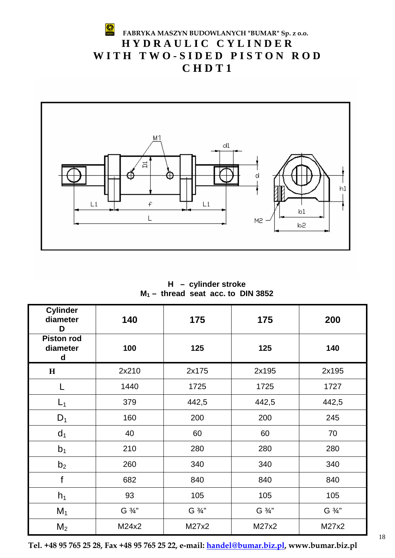#### S **FABRYKA MASZYN BUDOWLANYCH "BUMAR" Sp. z o.o. H Y D R A U L I C C Y L I N D E R**  WITH TWO-SIDED PISTON ROD **C H D T 1**



**H – cylinder stroke M1 – thread seat acc. to DIN 3852** 

| <b>Cylinder</b><br>diameter<br>D   | 140    | 175    | 175    | 200    |
|------------------------------------|--------|--------|--------|--------|
| <b>Piston rod</b><br>diameter<br>d | 100    | 125    | 125    | 140    |
| $\mathbf{H}$                       | 2x210  | 2x175  | 2x195  | 2x195  |
| L                                  | 1440   | 1725   | 1725   | 1727   |
| $L_1$                              | 379    | 442,5  | 442,5  | 442,5  |
| $D_1$                              | 160    | 200    | 200    | 245    |
| d <sub>1</sub>                     | 40     | 60     | 60     | 70     |
| b <sub>1</sub>                     | 210    | 280    | 280    | 280    |
| b <sub>2</sub>                     | 260    | 340    | 340    | 340    |
| f                                  | 682    | 840    | 840    | 840    |
| $h_1$                              | 93     |        | 105    | 105    |
| $M_1$                              | G 3/4" | G 3/4" | G 3/4" | G 3/4" |
| M <sub>2</sub>                     | M24x2  | M27x2  | M27x2  | M27x2  |

**Tel. +48 95 765 25 28, Fax +48 95 765 25 22, e-mail: handel@bumar.biz.pl, www.bumar.biz.pl**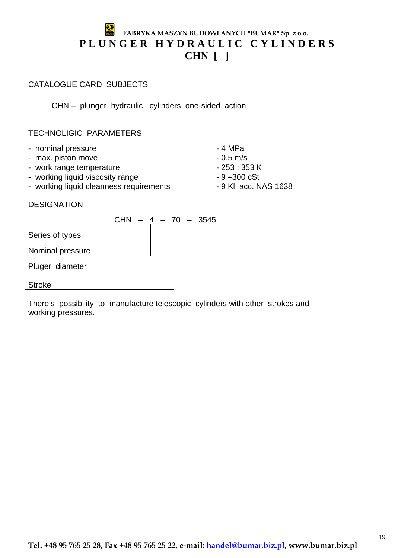## **FABRYKA MASZYN BUDOWLANYCH "BUMAR" Sp. z o.o.** PLUNGER HYDRAULIC CYLINDERS **CHN [ ]**

#### CATALOGUE CARD SUBJECTS

CHN – plunger hydraulic cylinders one-sided action

#### TECHNOLIGIC PARAMETERS

- nominal pressure  $-4$  MPa
- max. piston move  $-0.5$  m/s
- work range temperature 253 ÷353 K
- working liquid viscosity range  $-9 \div 300 \text{ cSt}$
- working liquid cleanness requirements 9 Kl. acc. NAS 1638

#### DESIGNATION



There's possibility to manufacture telescopic cylinders with other strokes and working pressures.

#### **Tel. +48 95 765 25 28, Fax +48 95 765 25 22, e-mail: handel@bumar.biz.pl, www.bumar.biz.pl**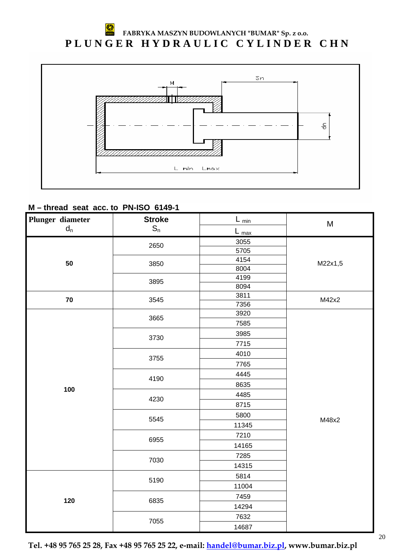#### ₩ **FABRYKA MASZYN BUDOWLANYCH "BUMAR" Sp. z o.o.** PLUNGER HYDRAULIC CYLINDER CHN



#### **M – thread seat acc. to PN-ISO 6149-1**

| Plunger diameter          | <b>Stroke</b>  | $L_{\underline{min}}$ | M       |
|---------------------------|----------------|-----------------------|---------|
| $\mathsf{d}_{\mathsf{n}}$ | $\mathbb{S}_n$ | $L_{\frac{max}{}}$    |         |
|                           | 2650           | 3055                  |         |
|                           |                | 5705                  |         |
| 50                        | 3850           | 4154                  | M22x1,5 |
|                           |                | 8004                  |         |
|                           | 3895           | 4199                  |         |
|                           |                | 8094                  |         |
| $\bf 70$                  | 3545           | 3811                  | M42x2   |
|                           |                | 7356<br>3920          |         |
|                           | 3665           | 7585                  |         |
|                           |                |                       |         |
|                           | 3730           | 3985                  |         |
|                           |                | 7715                  |         |
|                           | 3755           | 4010                  |         |
|                           |                | 7765                  |         |
|                           | 4190           | 4445                  |         |
| 100                       |                | 8635                  |         |
|                           | 4230           | 4485                  |         |
|                           |                | 8715                  |         |
|                           | 5545           | 5800                  | M48x2   |
|                           |                | 11345                 |         |
|                           | 6955           | 7210                  |         |
|                           |                | 14165                 |         |
|                           | 7030           | 7285                  |         |
|                           |                | 14315                 |         |
|                           |                | 5814                  |         |
|                           | 5190           | 11004                 |         |
|                           |                | 7459                  |         |
| 120                       | 6835           | 14294                 |         |
|                           |                | 7632                  |         |
|                           | 7055           | 14687                 |         |